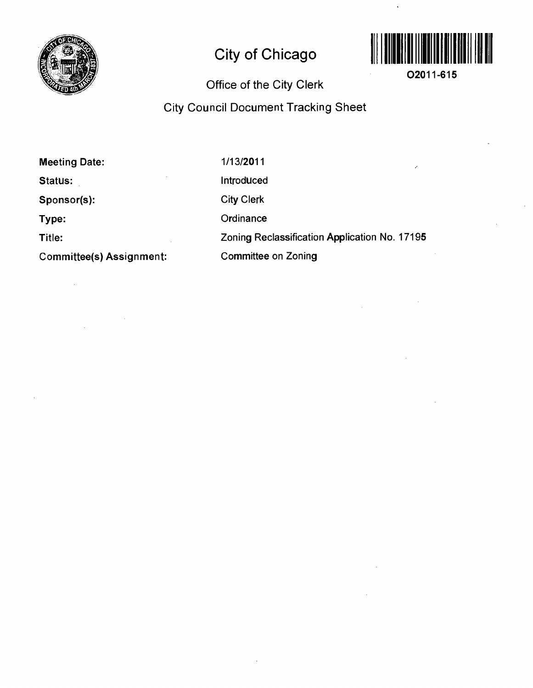

# **City of Chicago**



**02011-615** 

## **Office of the City Clerk**

## **City Council Document Tracking Sheet**

| <b>Meeting Date:</b>            | 1/13/2011<br>∕                                |
|---------------------------------|-----------------------------------------------|
| Status:                         | Introduced                                    |
| Sponsor(s):                     | <b>City Clerk</b>                             |
| Type:                           | Ordinance                                     |
| Title:                          | Zoning Reclassification Application No. 17195 |
| <b>Committee(s) Assignment:</b> | <b>Committee on Zoning</b>                    |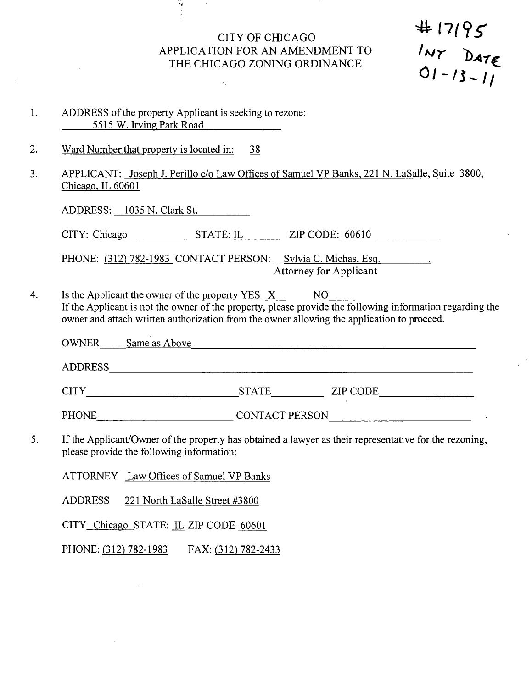## CITY OF CHICAGO *APPLICATION FOR AN AMENDMENT TO*  THE CHICAGO ZONING ORDINANCE

 $# 17195$ <br>'WY DATE<br>O1-13-11

- 1. ADDRESS of the property Applicant is seeking to rezone: 5515 W. Irving Park Road
- 2. Ward Number that propertv is located in: 38
- 3. APPLICANT: Joseph J. Perillo c/o Law Offices of Samuel VP Banks. 221 N. LaSalle. Suite 3800. Chicago. IL 60601

ADDRESS: 1035 N. Clark St.

CITY: Chicago STATE: IL ZIP CODE: 60610

PHONE: (312) 782-1983 CONTACT PERSON: Sylvia C. Michas, Esq. **Attorney for Applicant** 

Is the Applicant the owner of the property YES X NO  $4.$ If the Applicant is not the owner of the property, please provide the following information regarding the owner and attach written authorization from the owner allowing the application to proceed.

OWNER Same as Above Same as Above

ADDRESS

CITY STATE ZIP CODE\_

PHONE CONTACT PERSON

5. If the Applicant/Owner of the property has obtained a lawyer as their representative for the rezoning, please provide the following information:

ATTORNEY Law Offices of Samuel VP Banks

ADDRESS 221 North LaSalle Street #3800

CITY Chicago STATE: JL ZIP CODE 60601

PHONE: (312) 782-1983 FAX: (312) 782-2433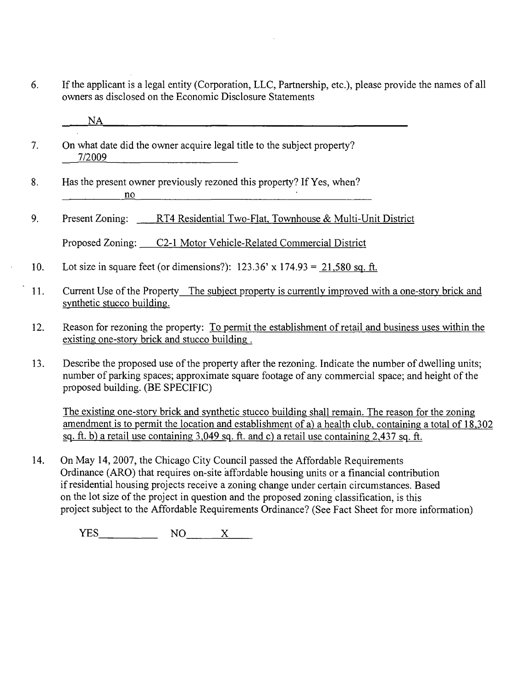- 6. If the applicant is a legal entity (Corporation, LLC, Partnership, etc.), please provide the names of all owners as disclosed on the Economic Disclosure Statements
	- NA
- 7. On what date did the owner acquire legal title to the subject property? 7/2009
- 8. Has the present owner previously rezoned this property? If Yes, when? <u>no</u> <u>no</u> <u>no produce de la produce de la produce de la produce de la produce de la produce de la produce de la produce de la produce de la produce de la produce de la produce de la produce de la produce de la produce de l</u>
- 9. Present Zoning: RT4 Residential Two-Flat, Townhouse & Multi-Unit District

Proposed Zoning: C2-1 Motor Vehicle-Related Commercial District

- 10. Lot size in square feet (or dimensions?): 123.36' x 174.93 = 21.580 sq. ft.
- 11. Current Use of the Propertv The subiect propertv is currentlv improved with a one-story brick and synthetic stucco building.
- 12. Reason for rezoning the property: To permit the establishment of retail and business uses within the existing one-story brick and stucco building .
- 13. Describe the proposed use of the property after the rezoning. Indicate the number of dwelling units; number of parking spaces; approximate square footage of any commercial space; and height of the proposed building. (BE SPECIFIC)

The existing one-story brick and synthetic stucco building shall remain. The reason for the zoning amendment is to permit the location and establishment of a) a health club, containing a total of 18.302 sq. ft. b) a retail use containing 3,049 sq. ft. and c) a retail use containing 2,437 sq. ft.

14. On May 14, 2007, the Chicago City Council passed the Affordable Requirements Ordinance (ARO) that requires on-site affordable housing units or a financial contribution if residential housing projects receive a zoning change under certain circumstances. Based on the lot size of the project in question and the proposed zoning classification, is this project subject to the Affordable Requirements Ordinance? (See Fact Sheet for more information)

YES NO X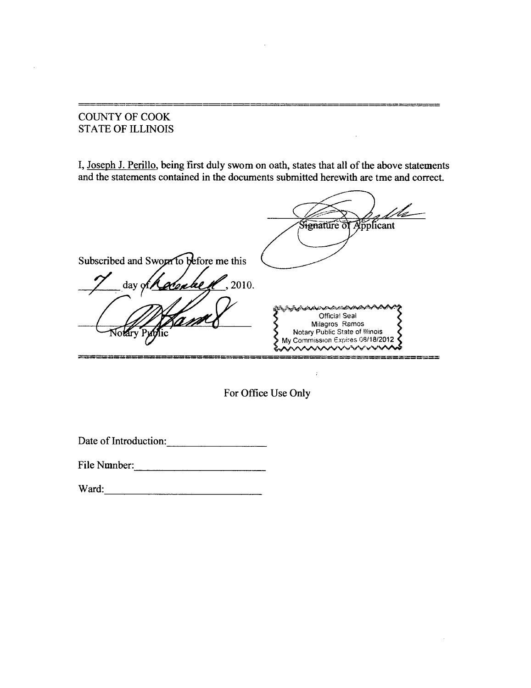## COUNTY OF COOK STATE OF ILLINOIS

 $\bar{z}$ 

I, Joseph J. Perillo. being first duly swom on oath, states that all of the above statements and the statements contained in the documents submitted herewith are tme and correct.

 $\bar{a}$ 

|                                                             | Signature of Applicant                                                                                                                             |
|-------------------------------------------------------------|----------------------------------------------------------------------------------------------------------------------------------------------------|
| Subscribed and Sworn to before me this<br>zake K<br>, 2010. |                                                                                                                                                    |
| $day \gamma$                                                | ra a construction de la construction de la construction de la construction de la construction de la constructio<br>Official Seal<br>Milagros Ramos |
| Arv Puty                                                    | Notary Public State of Illinois<br>My Commission Expires 08/18/2012<br><b>いんへんへんいいいいかいいんかんへん</b>                                                   |

For Office Use Only

 $\sim 10$ 

 $\mathcal{L}$ 

Date of Introduction:

File Nmnber:

Ward: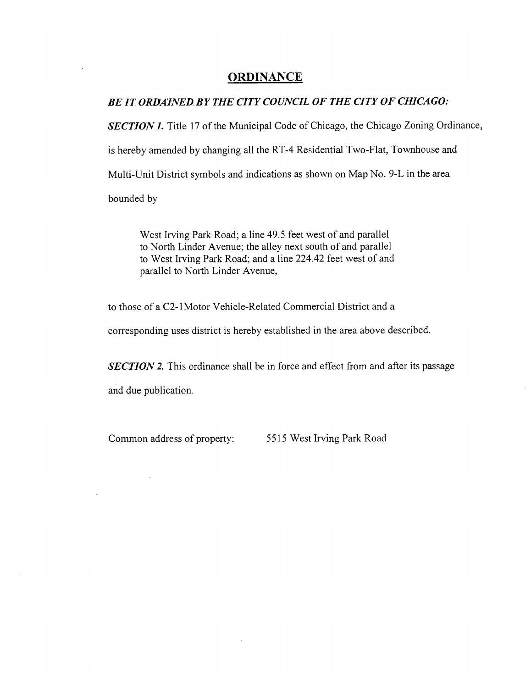#### **ORDINANCE**

#### BE IT ORDAINED BY THE CITY COUNCIL OF THE CITY OF CHICAGO:

**SECTION 1.** Title 17 of the Municipal Code of Chicago, the Chicago Zoning Ordinance, is hereby amended by changing all the RT-4 Residential Two-Flat, Townhouse and Multi-Unit District symbols and indications as shown on Map No. 9-L in the area bounded by

West Irving Park Road; a line 49.5 feet west of and parallel to North Linder Avenue; the alley next south of and parallel to West Irving Park Road; and a line 224.42 feet west of and parallel to North Linder Avenue,

to those of a C2-1 Motor Vehicle-Related Commercial District and a

corresponding uses district is hereby established in the area above described.

**SECTION 2.** This ordinance shall be in force and effect from and after its passage and due publication.

Common address of property: 5515 West Irving Park Road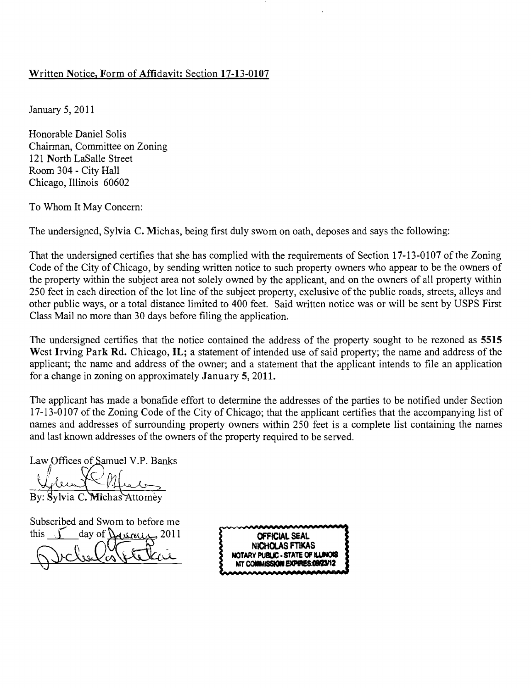#### **Written Notice, Form of Affidavit: Section 17-13-0107**

January 5, 2011

Honorable Daniel Solis Chairman, Committee on Zoning 121 North LaSalle Street Room 304 - City Hall Chicago, Illinois 60602

To Whom It May Concern:

The undersigned, Sylvia C. Michas, being first duly swom on oath, deposes and says the following:

That the undersigned certifies that she has complied with the requirements of Section 17-13-0107 of the Zoning Code of the City of Chicago, by sending written notice to such property owners who appear to be the owners of the property within the subject area not solely owned by the applicant, and on the owners of all property within 250 feet in each direction of the lot line of the subject property, exclusive of the public roads, streets, alleys and other public ways, or a total distance limited to 400 feet. Said written notice was or will be sent by USPS First Class Mail no more than 30 days before filing the application.

**The undersigned certifies that the notice contained the address of the property sought to be rezoned as 5515**  West Irving Park Rd. Chicago, IL; a statement of intended use of said property; the name and address of the **applicant; the name and address of the owner; and a statement that the applicant intends to file an application for a change in zoning on approximately January 5, 2011.** 

The applicant has made a bonafide effort to determine the addresses of the parties to be notified under Section 17-13-0107 of the Zoning Code of the City of Chicago; that the applicant certifies that the accompanying list of names and addresses of surrounding property owners within 250 feet is a complete list containing the names and last known addresses of the owners of the property required to be served.

Law Offices of Samuel V.P. Banks

By: Sylvia C. Michas Attomey

Subscribed and Swom to before me this  $\int$  day of  $\int$ **q**  $\frac{1}{2011}$  **SEAL OFFICIAL SEAL** 

**NICHOLAS FTIKAS NOTARY PUBLIC - STATE OF ILLINOIS 3 MT COMMISSION EXPIRES:09/23/12**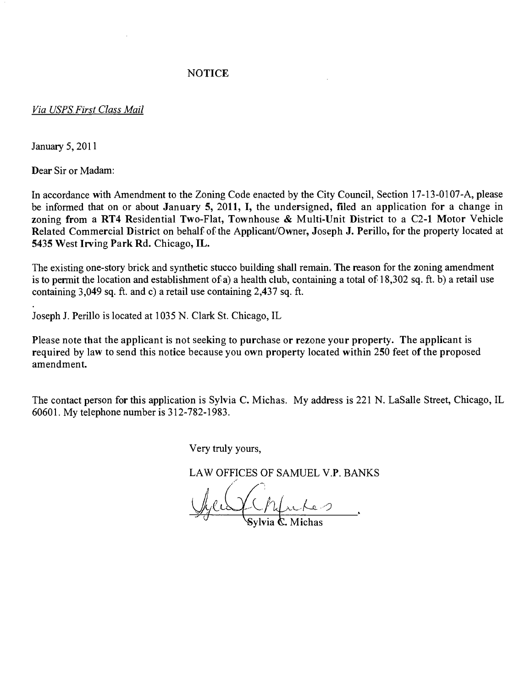#### **NOTICE**

#### *Via USPS First Class Mail*

January 5, 2011

Dear Sir or Madam:

**In accordance with Amendment to the Zoning Code enacted by the City Council, Section 17-13-0107-A, please be informed that on or about January 5, 2011, I, the undersigned, filed an application for a change in zoning from a RT4 Residential Two-Flat, Townhouse & Multi-Unit District to a C2-1 Motor Vehicle Related Commercial District on behalf of the Applicant/Owner, Joseph J. Perillo, for the property located at 5435 West Irving Park Rd. Chicago, IL.** 

The existing one-story brick and synthetic stucco building shall remain. The reason for the zoning amendment is to permit the location and establishment of a) a health club, containing a total of 18,302 sq. ft. b) a retail use containing 3,049 sq. ft. and c) a retail use containing 2,437 sq. ft.

Joseph J. Perillo is located at 1035 N. Clark St. Chicago, IL

**Please note that the applicant is not seeking to purchase or rezone your property. The applicant is required by law to send this notice because you own property located within 250 feet of the proposed amendment.** 

The contact person for this application is Sylvia C. Michas. My address is 221 N. LaSalle Street, Chicago, IL 60601. My telephone number is 312-782-1983.

Very tmly yours,

LAW OFFICES OF SAMUEL V.P. BANKS

**ylvia €L Michas**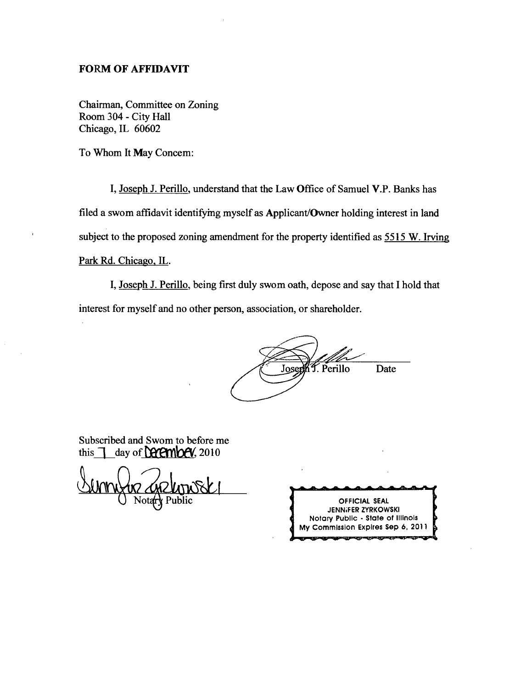#### FORM OF AFFIDAVIT

Chairman, Committee on Zoning Room 304 - City Hall Chicago, IL 60602

To Whom It May Concem:

I, Joseph J. Perillo, understand that the Law Office of Samuel V.P. Banks has filed a swom affidavit identifymg myself as Applicant/Owner holding interest in land subject to the proposed zoning amendment for the property identified as 5515 W. Irving Park Rd. Chicago. IL.

I, Joseph J. Perillo, being first duly swom oath, depose and say that I hold that interest for myself and no other person, association, or shareholder.

Josenh T. Perillo Date

Subscribed and Swom to before me this  $\top$  day of **Latenbey**, 2010

Notary Public

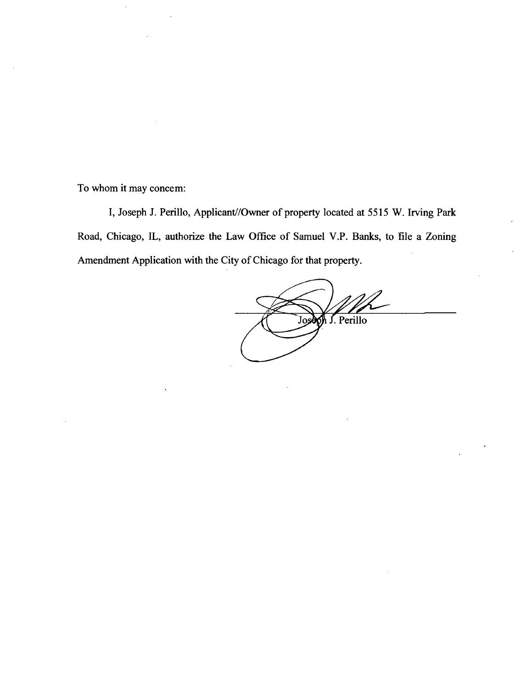To whom it may concem:

I, Joseph J. Perillo, Applicant//Owner of property located at 5515 W. Irving Park Road, Chicago, IL, authorize the Law Office of Samuel V.P. Banks, to file a Zoning Amendment Application with the City of Chicago for that property.

Joseph J. Perillo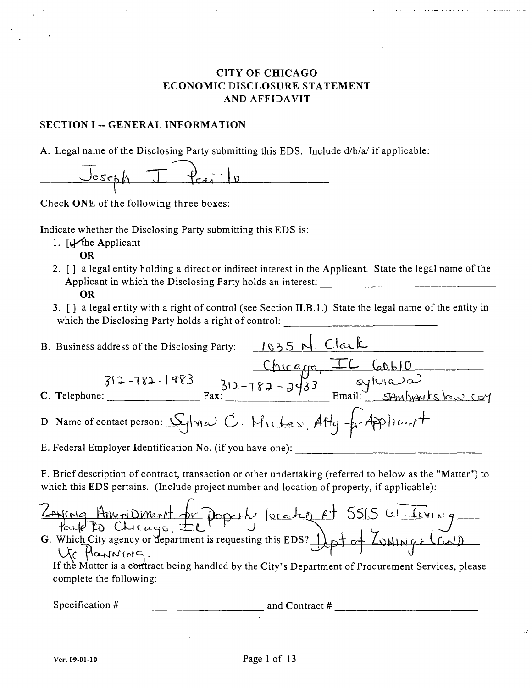#### CITY OF CHICAGO ECONOMIC DISCLOSURE STATEMENT AND AFFIDAVIT

#### SECTION I -- GENERAL INFORMATION

A. Legal name of the Disclosing Party submitting this EDS. Include d/b/a/ if applicable:

| L JOSEL IN | $J = \{e_i\}$<br>$-1$ |  |
|------------|-----------------------|--|
|            |                       |  |
|            |                       |  |

Check ONE of the following three boxes:

Indicate whether the Disclosing Party submitting this EDS is:

- 1.  $\bigcup$ the Applicant
- OR 2.  $\lceil \cdot \rceil$  a legal entity holding a direct or indirect interest in the Applicant. State the legal name of the Applicant in which the Disclosing Party holds an interest: OR
	- 3. [] a legal entity with a right of control (see Section II.B.l.) State the legal name of the entity in which the Disclosing Party holds a right of control:

| $1035$ N. Clark<br>B. Business address of the Disclosing Party:                      |  |  |  |
|--------------------------------------------------------------------------------------|--|--|--|
| $712 - 783 - 1983$<br>$312 - 783 - 3433$<br>$312 - 783 - 3433$<br>$54m$ barkslow.com |  |  |  |
|                                                                                      |  |  |  |
| C. Telephone:                                                                        |  |  |  |
| D. Name of contact person: Glyla C. Mickes, Atty for Applicant                       |  |  |  |
| E. Federal Employer Identification No. (if you have one):                            |  |  |  |

F. Brief description of contract, transaction or other undertaking (referred to below as the "Matter") to which this EDS pertains. (Include project number and location of property, if applicable):

Zening Am-dDinerit or poperly lucates at 5515 W Terinig<br>Parte PD Clucage, IL Poperly lucates at 5515 W Terinig Ur Hanning.

If the Matter is a contract being handled by the City's Department of Procurement Services, please complete the following:

Specification # and Contract #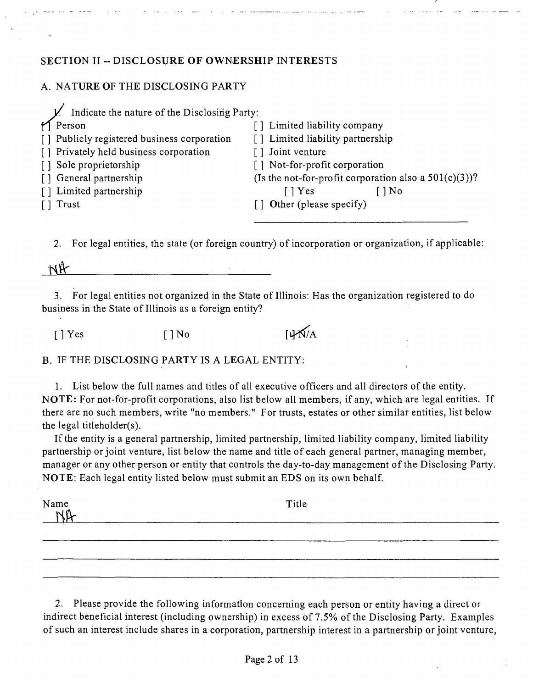#### **SECTION II ~ DISCLOSURE OF OWNERSHIP INTERESTS**

## A. NATURE OF THE DISCLOSING PARTY

| Indicate the nature of the Disclosing Party: |                                                          |
|----------------------------------------------|----------------------------------------------------------|
| $M$ Person                                   | [] Limited liability company                             |
| [] Publicly registered business corporation  | [] Limited liability partnership                         |
| [] Privately held business corporation       | Joint venture                                            |
| [] Sole proprietorship                       | [] Not-for-profit corporation                            |
| [] General partnership                       | (Is the not-for-profit corporation also a $501(c)(3)$ )? |
| [] Limited partnership                       | [ ] Yes<br>$ $ No                                        |
| [ ] Trust                                    | [] Other (please specify)                                |
|                                              |                                                          |

2. For legal entities, the state (or foreign country) of incorporation or organization, if applicable:

NA

3. For legal entities not organized in the State of Illinois: Has the organization registered to do business in the State of Illinois as a foreign entity?

*[ ] Yes [ ] No [i^A* 

B. IF THE DISCLOSING PARTY IS A LEGAL ENTITY:

1. List below the full names and titles of all executive officers and all directors of the entity. NOTE: For not-for-profit corporations, also list below all members, if any, which are legal entities. If there are no such members, write "no members." For trusts, estates or other similar entities, list below the legal titieholder(s).

If the entity is a general partnership, limited partnership, limited liability company, limited liability partnership or joint venture, list below the name and title of each general partner, managing member, manager or any other person or entity that controls the day-to-day management of the Disclosing Party. NOTE: Each legal entity listed below must submit an EDS on its own behalf.

| Name $N\mathbb{R}$ | Title |  |  |  |
|--------------------|-------|--|--|--|
|                    |       |  |  |  |
|                    |       |  |  |  |

2. Please provide the following information concerning each person or entity having a direct or indirect beneficial interest (including ownership) in excess of 7.5% of the Disclosing Party. Examples of such an interest include shares in a corporation, partnership interest in a partnership or joint venture,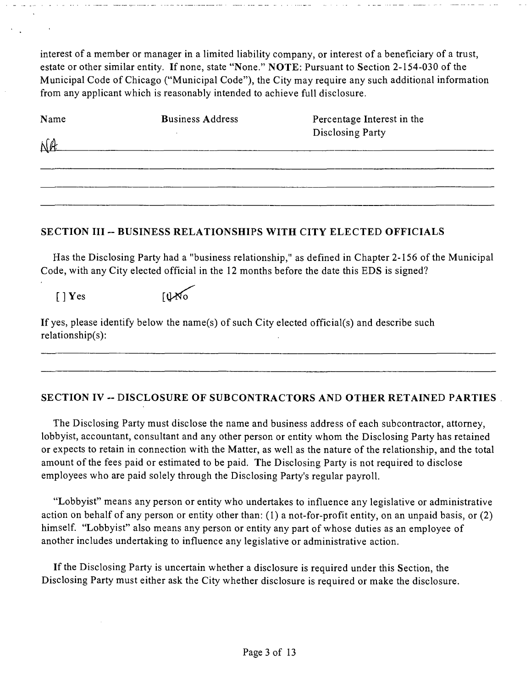interest of a member or manager in a limited liability company, or interest of a beneficiary of a trust, estate or other similar entity. If none, state "None." NOTE: Pursuant to Section 2-154-030 of the Municipal Code of Chicago ("Municipal Code"), the City may require any such additional information from any applicant which is reasonably intended to achieve full disclosure.

| Name | <b>Business Address</b> | Percentage Interest in the |
|------|-------------------------|----------------------------|
|      |                         | Disclosing Party           |
|      |                         |                            |
|      |                         |                            |
|      |                         |                            |

#### **SECTION III ~ BUSINESS RELATIONSHIPS WITH CITY ELECTED OFFICIALS**

Has the Disclosing Party had a "business relationship," as defined in Chapter 2-156 of the Municipal Code, with any City elected official in the 12 months before the date this EDS is signed?

 $[$   $]$  Yes  $[$   $]$  Yes  $[$   $]$  Yo

If yes, please identify below the name(s) of such City elected official(s) and describe such relationship(s):

## **SECTION IV - DISCLOSURE OF SUBCONTRACTORS AND OTHER RETAINED PARTIES**

The Disclosing Party must disclose the name and business address of each subcontractor, attomey, lobbyist, accountant, consultant and any other person or entity whom the Disclosing Party has retained or expects to retain in connection with the Matter, as well as the nature of the relationship, and the total amount of the fees paid or estimated to be paid. The Disclosing Party is not required to disclose employees who are paid solely through the Disclosing Party's regular payroll.

"Lobbyist" means any person or entity who undertakes to influence any legislative or administrative action on behalf of any person or entity other than: (1) a not-for-profit entity, on an unpaid basis, or (2) himself. "Lobbyist" also means any person or entity any part of whose duties as an employee of another includes undertaking to influence any legislative or administrative action.

If the Disclosing Party is uncertain whether a disclosure is required under this Section, the Disclosing Party must either ask the City whether disclosure is required or make the disclosure.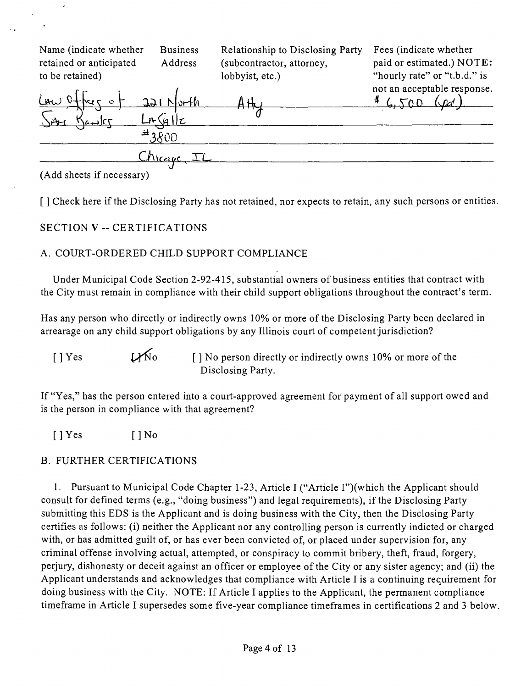| Name (indicate whether<br>retained or anticipated<br>to be retained) | <b>Business</b><br>Address      | Relationship to Disclosing Party<br>(subcontractor, attorney,<br>lobbyist, etc.) | Fees (indicate whether<br>paid or estimated.) NOTE:<br>"hourly rate" or "t.b.d." is |
|----------------------------------------------------------------------|---------------------------------|----------------------------------------------------------------------------------|-------------------------------------------------------------------------------------|
| $L$ AW $O + \sqrt{C}$<br>$\bullet$                                   | $221$ North<br>Ln(4 c)<br>43800 |                                                                                  | not an acceptable response.<br>(snd)                                                |
| $7.4$ 1.1 1.2 $1.4$ $1.6$ $1.2$ $1.6$                                | <u>Chicago</u>                  |                                                                                  |                                                                                     |

 $\lambda$ 

**[ ] Check here if the Disclosing Party has not retained, nor expects to retain, any such persons or entities.** 

#### **SECTION V - CERTIFICATIONS**

#### A. COURT-ORDERED CHILD SUPPORT COMPLIANCE

Under Municipal Code Section 2-92-415, substantial owners of business entities that contract with the City must remain in compliance with their child support obligations throughout the contract's term.

Has any person who directly or indirectly owns 10% or more of the Disclosing Party been declared in arrearage on any child support obligations by any Illinois court of competent jurisdiction?

 $[ ]$  Yes  $[ ]$  No  $[ ]$  No person directly or indirectly owns 10% or more of the Disclosing Party.

If "Yes," has the person entered into a court-approved agreement for payment of all support owed and is the person in compliance with that agreement?

[ ] Yes [ ] No

## B. FURTHER CERTIFICATIONS

1. Pursuant to Municipal Code Chapter 1-23, Article I ("Article I")(which the Applicant should consult for defined terms (e.g., "doing business") and legal requirements), if the Disclosing Party submitting this EDS is the Applicant and is doing business with the City, then the Disclosing Party certifies as follows: (i) neither the Applicant nor any controlling person is currently indicted or charged with, or has admitted guilt of, or has ever been convicted of, or placed under supervision for, any criminal offense involving actual, attempted, or conspiracy to commit bribery, theft, fraud, forgery, perjury, dishonesty or deceit against an officer or employee of the City or any sister agency; and (ii) the Applicant understands and acknowledges that compliance with Article I is a continuing requirement for doing business with the City. NOTE: If Article I applies to the Applicant, the permanent compliance timeframe in Article I supersedes some five-year compliance timeframes in certifications 2 and 3 below.

<sup>(</sup>Add sheets if necessary)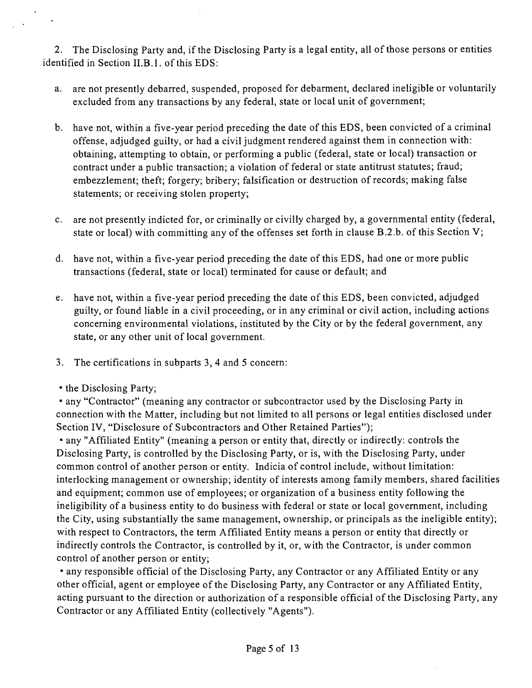2. The Disclosing Party and, if the Disclosing Party is a legal entity, all of those persons or entities identified in Section II.B.l. of this EDS:

- a. are not presently debarred, suspended, proposed for debarment, declared ineligible or voluntarily excluded from any transactions by any federal, state or local unit of government;
- b. have not, within a five-year period preceding the date of this EDS, been convicted of a criminal offense, adjudged guilty, or had a civil judgment rendered against them in connection with: obtaining, attempting to obtain, or performing a public (federal, state or local) transaction or contract under a public transaction; a violation of federal or state antitrust statutes; fraud; embezzlement; theft; forgery; bribery; falsification or destruction of records; making false statements; or receiving stolen property;
- c. are not presently indicted for, or criminally or civilly charged by, a governmental entity (federal, state or local) with committing any of the offenses set forth in clause B.2.b. of this Section V;
- d. have not, within a five-year period preceding the date of this EDS, had one or more public transactions (federal, state or local) terminated for cause or default; and
- e. have not, within a five-year period preceding the date of this EDS, been convicted, adjudged guilty, or found liable in a civil proceeding, or in any criminal or civil action, including actions concerning environmental violations, instituted by the City or by the federal government, any state, or any other unit of local government.
- 3. The certifications in subparts 3, 4 and 5 concern:
- the Disclosing Party;

• any "Contractor" (meaning any contractor or subcontractor used by the Disclosing Party in connection with the Matter, including but not limited to all persons or legal entities disclosed under Section IV, "Disclosure of Subcontractors and Other Retained Parties");

• any "Affiliated Entity" (meaning a person or entity that, directly or indirectly: controls the Disclosing Party, is controlled by the Disclosing Party, or is, with the Disclosing Party, under common control of another person or entity. Indicia of control include, without limitation: interlocking management or ownership; identity of interests among family members, shared facilities and equipment; common use of employees; or organization of a business entity following the ineligibility of a business entity to do business with federal or state or local govemment, including the City, using substantially the same management, ownership, or principals as the ineligible entity); with respect to Contractors, the term Affiliated Entity means a person or entity that directly or indirectly controls the Contractor, is controlled by it, or, with the Contractor, is under common control of another person or entity;

• any responsible official of the Disclosing Party, any Contractor or any Affiliated Entity or any other official, agent or employee of the Disclosing Party, any Contractor or any Affiliated Entity, acting pursuant to the direction or authorization of a responsible official of the Disclosing Party, any Contractor or any Affiliated Entity (collectively "Agents").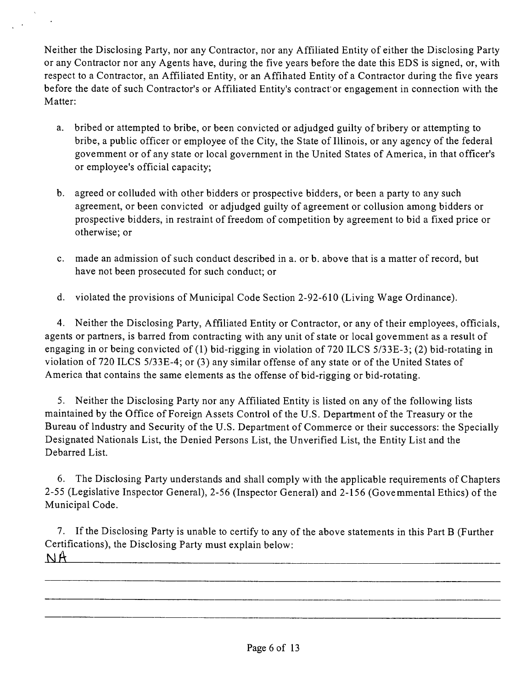Neither the Disclosing Party, nor any Contractor, nor any Affiliated Entity of either the Disclosing Party or any Contractor nor any Agents have, during the five years before the date this EDS is signed, or, with respect to a Contractor, an Affiliated Entity, or an Affihated Entity of a Contractor during the five years before the date of such Contractor's or Affiliated Entity's contract'or engagement in connection with the Matter:

- a. bribed or attempted to bribe, or been convicted or adjudged guilty of bribery or attempting to bribe, a public officer or employee of the City, the State of Illinois, or any agency of the federal govemment or of any state or local government in the United States of America, in that officer's or employee's official capacity;
- b. agreed or colluded with other bidders or prospective bidders, or been a party to any such agreement, or been convicted or adjudged guilty of agreement or collusion among bidders or prospective bidders, in restraint of freedom of competition by agreement to bid a fixed price or otherwise; or
- c. made an admission of such conduct described in a. or b. above that is a matter of record, but have not been prosecuted for such conduct; or
- d. violated the provisions of Municipal Code Section 2-92-610 (Living Wage Ordinance).

4. Neither the Disclosing Party, Affiliated Entity or Contractor, or any of their employees, officials, agents or partners, is barred from contracting with any unit of state or local govemment as a result of engaging in or being convicted of (1) bid-rigging in violation of 720 ILCS 5/33E-3; (2) bid-rotating in violation of 720 ILCS 5/33E-4; or (3) any similar offense of any state or of the United States of America that contains the same elements as the offense of bid-rigging or bid-rotating.

5. Neither the Disclosing Party nor any Affiliated Entity is listed on any of the following lists maintained by the Office of Foreign Assets Control of the U.S. Department of the Treasury or the Bureau of Industry and Security of the U.S. Department of Commerce or their successors: the Specially Designated Nationals List, the Denied Persons List, the Unverified List, the Entity List and the Debarred List.

6. The Disclosing Party understands and shall comply with the applicable requirements of Chapters 2-55 (Legislative Inspector General), 2-56 (Inspector General) and 2-156 (Govemmental Ethics) of the Municipal Code.

7. If the Disclosing Party is unable to certify to any of the above statements in this Part B (Further Certifications), the Disclosing Party must explain below: NA.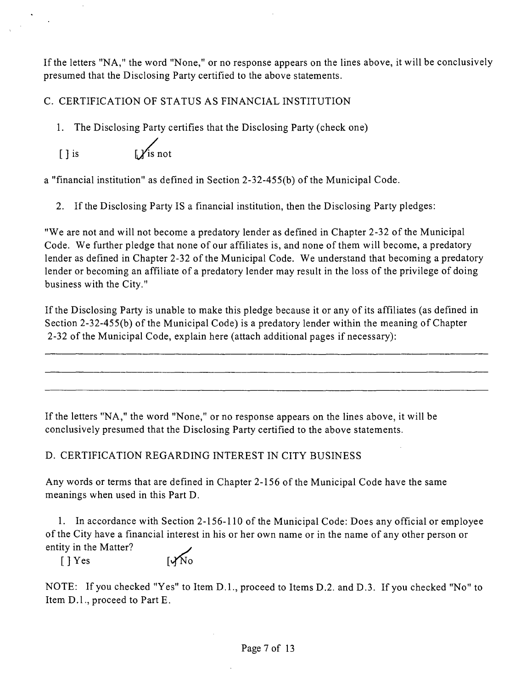If the letters "NA," the word "None," or no response appears on the lines above, it will be conclusively presumed that the Disclosing Party certified to the above statements.

C. CERTIFICATION OF STATUS AS FINANCIAL INSTITUTION

*1. The Disclosing Party certifies that the Disclosing Party (check one)* 

 $\begin{array}{ccc} \hline \end{array}$  is  $\begin{array}{ccc} \hline \end{array}$  is not

a "financial institution" as defined in Section 2-32-455(b) of the Municipal Code.

2. If the Disclosing Party IS a financial institution, then the Disclosing Party pledges:

"We are not and will not become a predatory lender as defined in Chapter 2-32 of the Municipal Code. We further pledge that none of our affiliates is, and none of them will become, a predatory lender as defined in Chapter 2-32 of the Municipal Code. We understand that becoming a predatory lender or becoming an affiliate of a predatory lender may result in the loss of the privilege of doing business with the City."

If the Disclosing Party is unable to make this pledge because it or any of its affiliates (as defined in Section 2-32-455(b) of the Municipal Code) is a predatory lender within the meaning of Chapter 2-32 of the Municipal Code, explain here (attach additional pages if necessary):

If the letters "NA," the word "None," or no response appears on the lines above, it will be conclusively presumed that the Disclosing Party certified to the above statements.

D. CERTIFICATION REGARDING INTEREST IN CITY BUSINESS

Any words or terms that are defined in Chapter 2-156 of the Municipal Code have the same meanings when used in this Part D.

1. In accordance with Section 2-156-110 of the Municipal Code: Does any official or employee ofthe City have a financial interest in his or her own name or in the name of any other person or entity in the Matter?

 $[$   $]$   $Y$ es  $[$   $\sqrt{N_0}$ 

NOTE: If you checked "Yes" to Item D.L, proceed to Items D.2. and D.3. If you checked "No" to Item D.l., proceed to Part E.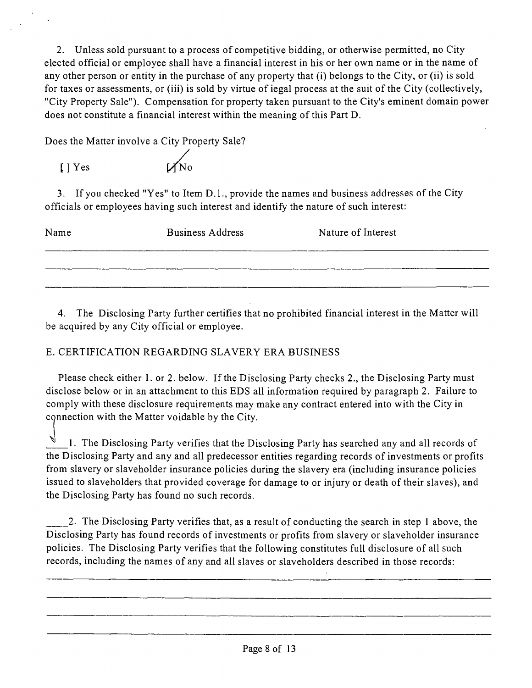2. Unless sold pursuant to a process of competitive bidding, or otherwise permitted, no City elected official or employee shall have a financial interest in his or her own name or in the name of any other person or entity in the purchase of any property that (i) belongs to the City, or (ii) is sold for taxes or assessments, or (iii) is sold by virtue of iegal process at the suit of the City (collectively, "City Property Sale"). Compensation for property taken pursuant to the City's eminent domain power does not constitute a financial interest within the meaning of this Part D.

Does the Matter involve a City Property Sale?

[ ] Yes [*\/(lio* 4 No

3. If you checked "Yes" to Item D.l., provide the names and business addresses of the City officials or employees having such interest and identify the nature of such interest:

| Name | <b>Business Address</b> | Nature of Interest |
|------|-------------------------|--------------------|
|      |                         |                    |
|      |                         |                    |

4. The Disclosing Party further certifies that no prohibited financial interest in the Matter will be acquired by any City official or employee.

## E. CERTIFICATION REGARDING SLAVERY ERA BUSINESS

Please check either 1. or 2. below. If the Disclosing Party checks 2., the Disclosing Party must disclose below or in an attachment to this EDS all information required by paragraph 2. Failure to comply with these disclosure requirements may make any contract entered into with the City in connection with the Matter voidable by the City.

1. The Disclosing Party verifies that the Disclosing Party has searched any and all records of the Disclosing Party and any and all predecessor entities regarding records of investments or profits from slavery or slaveholder insurance policies during the slavery era (including insurance policies issued to slaveholders that provided coverage for damage to or injury or death of their slaves), and the Disclosing Party has found no such records.

2. The Disclosing Party verifies that, as a resutt of conducting the search in step 1 above, the Disclosing Party has found records of investments or profits from slavery or slaveholder insurance policies. The Disclosing Party verifies that the following constitutes full disclosure of all such records, including the names of any and all slaves or slaveholders described in those records: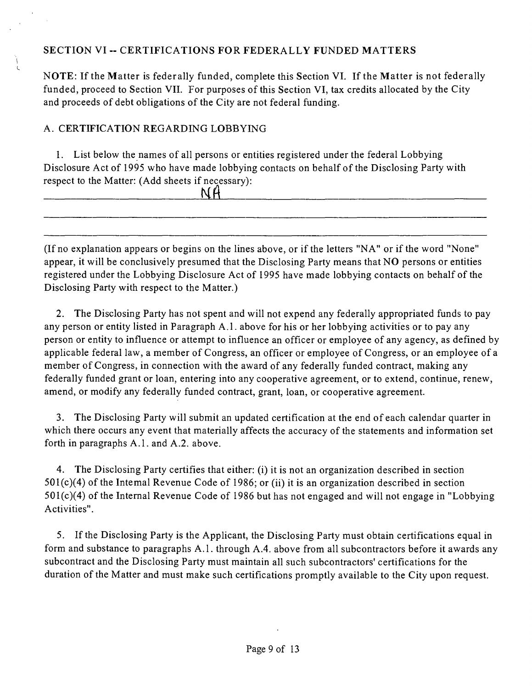#### **SECTION VI - CERTIFICATIONS FOR FEDERALLY FUNDED MATTERS**

NOTE: If the Matter is federally funded, complete this Section VI. If the Matter is not federally funded, proceed to Section VII. For purposes of this Section VI, tax credits allocated by the City and proceeds of debt obligations of the City are not federal funding.

## A. CERTIFICATION REGARDING LOBBYING

1. List below the names of all persons or entities registered under the federal Lobbying Disclosure Act of 1995 who have made lobbying contacts on behalf of the Disclosing Party with respect to the Matter: (Add sheets if necessary):

|  | ______ | --<br>_____ |
|--|--------|-------------|

(Ifno explanation appears or begins on the lines above, or if the letters "NA" or if the word "None" appear, it will be conclusively presumed that the Disclosing Party means that NO persons or entities registered under the Lobbying Disclosure Act of 1995 have made lobbying contacts on behalf of the Disclosing Party with respect to the Matter.)

2. The Disclosing Party has not spent and will not expend any federally appropriated funds to pay any person or entity listed in Paragraph A.l . above for his or her lobbying activities or to pay any person or entity to influence or attempt to influence an officer or employee of any agency, as defined by applicable federal law, a member of Congress, an officer or employee of Congress, or an employee of a member of Congress, in connection with the award of any federally funded contract, making any federally funded grant or loan, entering into any cooperative agreement, or to extend, continue, renew, amend, or modify any federally funded contract, grant, loan, or cooperative agreement.

3. The Disclosing Party will submit an updated certification at the end of each calendar quarter in which there occurs any event that materially affects the accuracy of the statements and information set forth in paragraphs A.l . and A.2. above.

4. The Disclosing Party certifies that either: (i) it is not an organization described in section  $501(c)(4)$  of the Intemal Revenue Code of 1986; or (ii) it is an organization described in section 501(c)(4) of the Internal Revenue Code of 1986 but has not engaged and will not engage in "Lobbying Activities".

5. If the Disclosing Party is the Applicant, the Disclosing Party must obtain certifications equal in form and substance to paragraphs A.l . through A.4. above from all subcontractors before it awards any subcontract and the Disclosing Party must maintain all such subcontractors' certifications for the duration of the Matter and must make such certifications promptly available to the City upon request.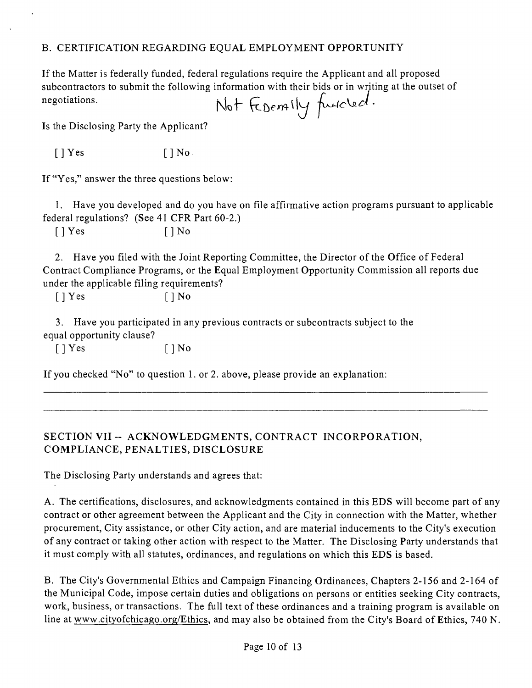#### B. CERTIFICATION REGARDING EQUAL EMPLOYMENT OPPORTUNITY

If the Matter is federally funded, federal regulations require the Applicant and all proposed subcontractors to submit the following information with their bids or in writing at the outset of<br>negotiations.<br> $\bigwedge_{\mathfrak{b}} \biguparrow_{\mathfrak{b}} \biguparrow_{\mathfrak{b}} \biguparrow_{\mathfrak{b}} \biguparrow_{\mathfrak{b}} \biguparrow_{\mathfrak{b}}$ negotiations.

Is the Disclosing Party the Applicant?

 $[$  | Yes  $[$  | No.

If "Yes," answer the three questions below:

1. Have you developed and do you have on file affirmative action programs pursuant to applicable federal regulations? (See 41 CFR Part 60-2.)

 $[$  | Yes  $[$  | No

2. Have you filed with the Joint Reporting Committee, the Director of the Office of Federal Contract Compliance Programs, or the Equal Employment Opportunity Commission all reports due under the applicable filing requirements?

 $[$  | Yes  $[$  | No

3. Have you participated in any previous contracts or subcontracts subject to the equal opportunity clause?

 $[$  | Yes  $[$  | No

If you checked "No" to question 1. or 2. above, please provide an explanation:

## **SECTION VII ~ ACKNOWLEDGMENTS, CONTRACT INCORPORATION, COMPLIANCE, PENALTIES, DISCLOSURE**

The Disclosing Party understands and agrees that:

A. The certifications, disclosures, and acknowledgments contained in this EDS will become part of any contract or other agreement between the Applicant and the City in connection with the Matter, whether procurement, City assistance, or other City action, and are material inducements to the City's execution of any contract or taking other action with respect to the Matter. The Disclosing Party understands that it must comply with all statutes, ordinances, and regulations on which this EDS is based.

B. The City's Governmental Ethics and Campaign Financing Ordinances, Chapters 2-156 and 2-164 of the Municipal Code, impose certain duties and obligations on persons or entities seeking City contracts, work, business, or transactions. The full text of these ordinances and a training program is available on line at www.cityofchicago.org/Ethics, and may also be obtained from the City's Board of Ethics, 740 N.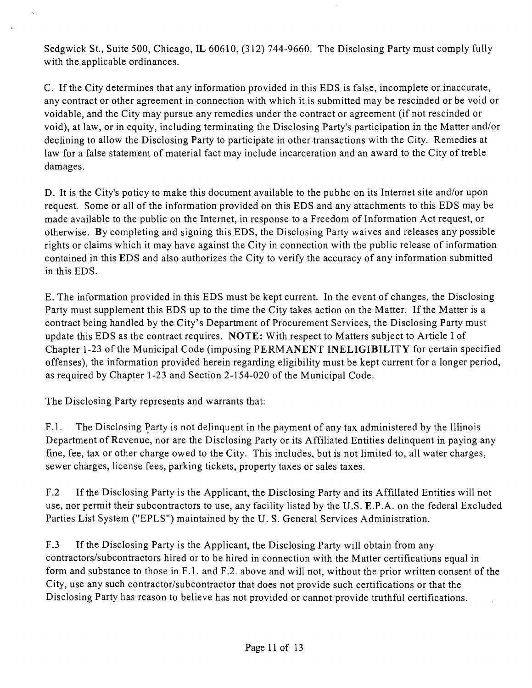Sedgwick St., Suite 500, Chicago, IL 60610, (312) 744-9660. The Disclosing Party must comply fully with the applicable ordinances.

C. If the City determines that any information provided in this EDS is false, incomplete or inaccurate, any contract or other agreement in connection with which it is submitted may be rescinded or be void or voidable, and the City may pursue any remedies under the contract or agreement (if not rescinded or void), at law, or in equity, including terminating the Disclosing Party's participation in the Matter and/or declining to allow the Disclosing Party to participate in other transactions with the City. Remedies at law for a false statement of material fact may include incarceration and an award to the City of treble damages.

D. It is the City's poticy to make this document available to the pubhc on its Internet site and/or upon request. Some or all of the information provided on this EDS and any attachments to this EDS may be made available to the public on the Internet, in response to a Freedom of Information Act request, or otherwise. By completing and signing this EDS, the Disclosing Party waives and releases any possible rights or claims which it may have against the City in connection with the public release of information contained in this EDS and also authorizes the City to verify the accuracy of any information submitted in this EDS.

E. The information provided in this EDS must be kept current. In the event of changes, the Disclosing Party must supplement this EDS up to the time the City takes action on the Matter. If the Matter is a contract being handled by the City's Department of Procurement Services, the Disclosing Party must update this EDS as the contract requires. NOTE: With respect to Matters subject to Article I of Chapter 1-23 of the Municipal Code (imposing PERMANENT INELIGIBILITY for certain specified offenses), the information provided herein regarding eligibility must be kept current for a longer period, as required by Chapter 1-23 and Section 2-154-020 of the Municipal Code.

The Disclosing Party represents and warrants that:

F.1. The Disclosing Party is not delinquent in the payment of any tax administered by the Illinois Department of Revenue, nor are the Disclosing Party or its Affiliated Entities delinquent in paying any fine, fee, tax or other charge owed to the City. This includes, but is not limited to, all water charges, sewer charges, license fees, parking tickets, property taxes or sales taxes.

F.2 If the Disclosing Party is the Applicant, the Disclosing Party and its Affiliated Entities will not use, nor permit their subcontractors to use, any facility listed by the U.S. E.P.A. on the federal Excluded Parties List System ("EPLS") maintained by the U. S. General Services Administration.

F.3 If the Disclosing Party is the Applicant, the Disclosing Party will obtain from any contractors/subcontractors hired or to be hired in connection with the Matter certifications equal in form and substance to those in F.l . and F.2. above and will not, without the prior written consent of the City, use any such contractor/subcontractor that does not provide such certifications or that the Disclosing Party has reason to believe has not provided or cannot provide truthful certifications.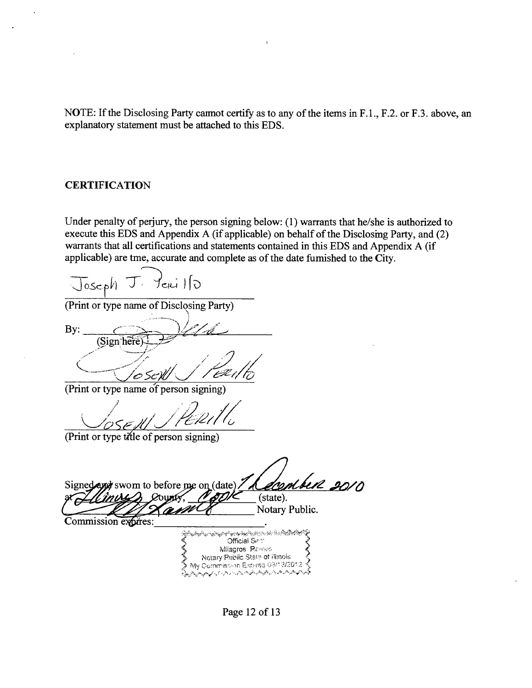NOTE: If the Disclosing Party caimot certify as to any of the items in F.1., F.2. or F.3. above, an explanatory statement must be attached to this EDS.

#### **CERTIFICATION**

Under penalty of perjury, the person signing below: (1) warrants that he/she is authorized to execute this EDS and Appendix A (if applicable) on behalf of the Disclosmg Party, and (2) warrants that all certifications and statements contained in this EDS and Appendix A (if applicable) are tme, accurate and complete as of the date fumished to the City.

teri 110  $\cup$  loseph

(Print or type name of Disclosing Party)

 $\mathbf{By:}$ (Sign here)

(Print or type name of person signing)

(Print or type tifle of person signing)

swom to before me on  $(\text{date})$  // *Alconbull 20/0*  $(s)$ . Notary Public. Commission expires: ؆*ۮڰٵڴڲٳڎڴڗ؞ڎۮ؞ۿؾڔ؞ڂڹٵڟؾٳڷۜڂ۫ڸؠۏۊ؞ۄۮڿۄڂڿ؞ۄڂؽڹڂڂڸۊ*؊ ંડે Official Sect Milagros-Rames Notary Rublic State of illinois<br>My Commission Expires 08/18/2012 فلمراض وهيروهن وهوران يرتبي والرباض

Page 12 of 13